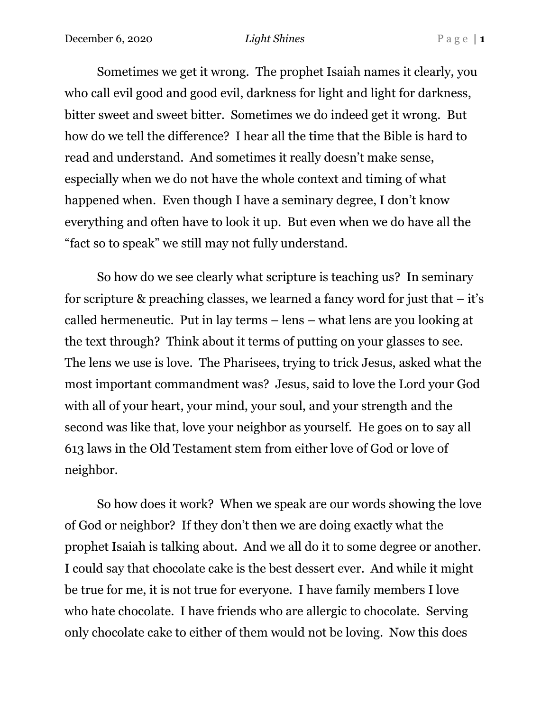Sometimes we get it wrong. The prophet Isaiah names it clearly, you who call evil good and good evil, darkness for light and light for darkness, bitter sweet and sweet bitter. Sometimes we do indeed get it wrong. But how do we tell the difference? I hear all the time that the Bible is hard to read and understand. And sometimes it really doesn't make sense, especially when we do not have the whole context and timing of what happened when. Even though I have a seminary degree, I don't know everything and often have to look it up. But even when we do have all the "fact so to speak" we still may not fully understand.

So how do we see clearly what scripture is teaching us? In seminary for scripture & preaching classes, we learned a fancy word for just that  $-$  it's called hermeneutic. Put in lay terms – lens – what lens are you looking at the text through? Think about it terms of putting on your glasses to see. The lens we use is love. The Pharisees, trying to trick Jesus, asked what the most important commandment was? Jesus, said to love the Lord your God with all of your heart, your mind, your soul, and your strength and the second was like that, love your neighbor as yourself. He goes on to say all 613 laws in the Old Testament stem from either love of God or love of neighbor.

So how does it work? When we speak are our words showing the love of God or neighbor? If they don't then we are doing exactly what the prophet Isaiah is talking about. And we all do it to some degree or another. I could say that chocolate cake is the best dessert ever. And while it might be true for me, it is not true for everyone. I have family members I love who hate chocolate. I have friends who are allergic to chocolate. Serving only chocolate cake to either of them would not be loving. Now this does